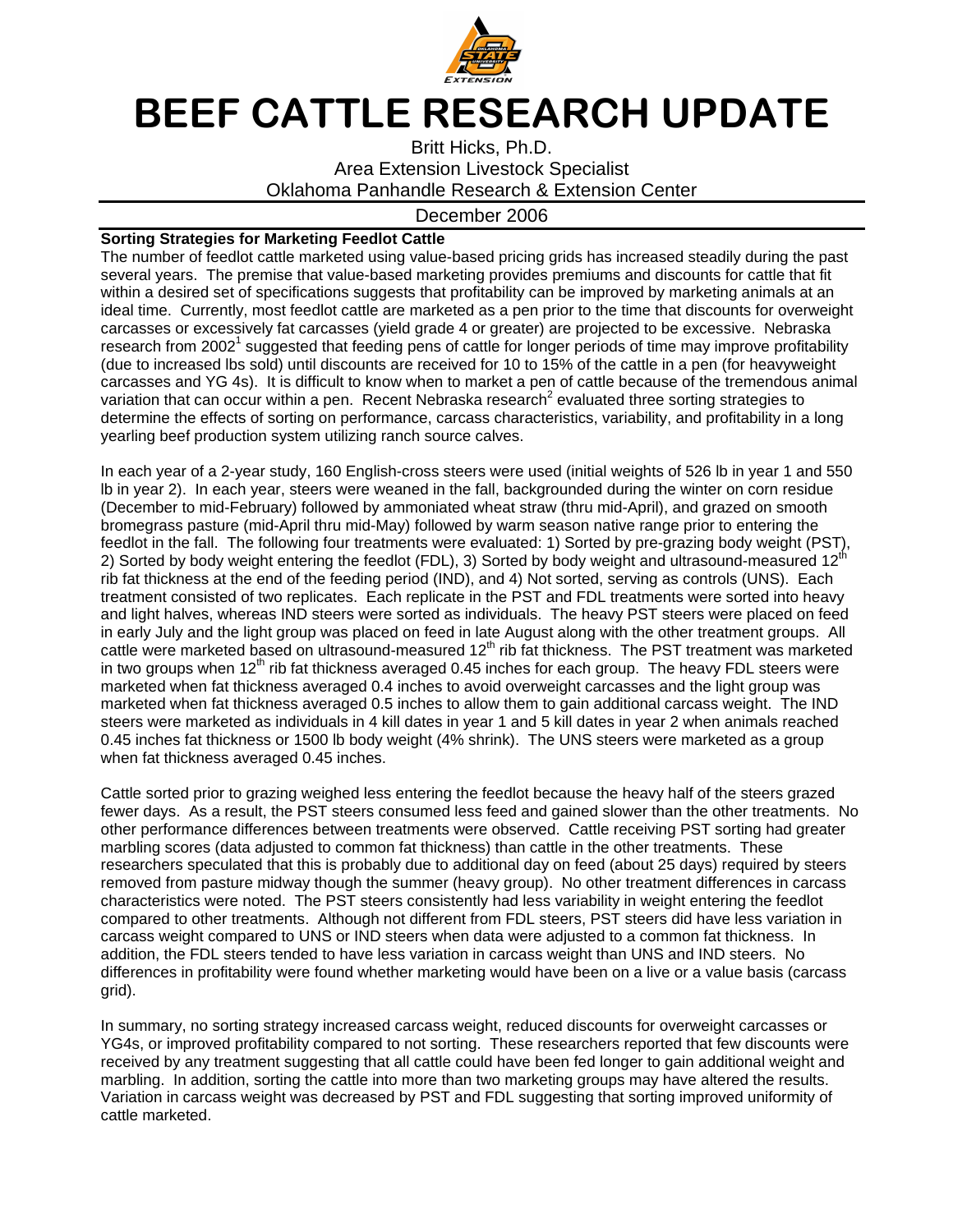

## BEEF CATTLE RESEARCH UPDATE

Britt Hicks, Ph.D. Area Extension Livestock Specialist Oklahoma Panhandle Research & Extension Center

## December 2006

## **Sorting Strategies for Marketing Feedlot Cattle**

The number of feedlot cattle marketed using value-based pricing grids has increased steadily during the past several years. The premise that value-based marketing provides premiums and discounts for cattle that fit within a desired set of specifications suggests that profitability can be improved by marketing animals at an ideal time. Currently, most feedlot cattle are marketed as a pen prior to the time that discounts for overweight carcasses or excessively fat carcasses (yield grade 4 or greater) are projected to be excessive. Nebraska research from 2002<sup>1</sup> suggested that feeding pens of cattle for longer periods of time may improve profitability (due to increased lbs sold) until discounts are received for 10 to 15% of the cattle in a pen (for heavyweight carcasses and YG 4s). It is difficult to know when to market a pen of cattle because of the tremendous animal variation that can occur within a pen. Recent Nebraska research<sup>2</sup> evaluated three sorting strategies to determine the effects of sorting on performance, carcass characteristics, variability, and profitability in a long yearling beef production system utilizing ranch source calves.

In each year of a 2-year study, 160 English-cross steers were used (initial weights of 526 lb in year 1 and 550 lb in year 2). In each year, steers were weaned in the fall, backgrounded during the winter on corn residue (December to mid-February) followed by ammoniated wheat straw (thru mid-April), and grazed on smooth bromegrass pasture (mid-April thru mid-May) followed by warm season native range prior to entering the feedlot in the fall. The following four treatments were evaluated: 1) Sorted by pre-grazing body weight (PST), 2) Sorted by body weight entering the feedlot (FDL), 3) Sorted by body weight and ultrasound-measured 12<sup>th</sup> rib fat thickness at the end of the feeding period (IND), and 4) Not sorted, serving as controls (UNS). Each treatment consisted of two replicates. Each replicate in the PST and FDL treatments were sorted into heavy and light halves, whereas IND steers were sorted as individuals. The heavy PST steers were placed on feed in early July and the light group was placed on feed in late August along with the other treatment groups. All cattle were marketed based on ultrasound-measured 12<sup>th</sup> rib fat thickness. The PST treatment was marketed in two groups when  $12<sup>th</sup>$  rib fat thickness averaged 0.45 inches for each group. The heavy FDL steers were marketed when fat thickness averaged 0.4 inches to avoid overweight carcasses and the light group was marketed when fat thickness averaged 0.5 inches to allow them to gain additional carcass weight. The IND steers were marketed as individuals in 4 kill dates in year 1 and 5 kill dates in year 2 when animals reached 0.45 inches fat thickness or 1500 lb body weight (4% shrink). The UNS steers were marketed as a group when fat thickness averaged 0.45 inches.

Cattle sorted prior to grazing weighed less entering the feedlot because the heavy half of the steers grazed fewer days. As a result, the PST steers consumed less feed and gained slower than the other treatments. No other performance differences between treatments were observed. Cattle receiving PST sorting had greater marbling scores (data adjusted to common fat thickness) than cattle in the other treatments. These researchers speculated that this is probably due to additional day on feed (about 25 days) required by steers removed from pasture midway though the summer (heavy group). No other treatment differences in carcass characteristics were noted. The PST steers consistently had less variability in weight entering the feedlot compared to other treatments. Although not different from FDL steers, PST steers did have less variation in carcass weight compared to UNS or IND steers when data were adjusted to a common fat thickness. In addition, the FDL steers tended to have less variation in carcass weight than UNS and IND steers. No differences in profitability were found whether marketing would have been on a live or a value basis (carcass grid).

In summary, no sorting strategy increased carcass weight, reduced discounts for overweight carcasses or YG4s, or improved profitability compared to not sorting. These researchers reported that few discounts were received by any treatment suggesting that all cattle could have been fed longer to gain additional weight and marbling. In addition, sorting the cattle into more than two marketing groups may have altered the results. Variation in carcass weight was decreased by PST and FDL suggesting that sorting improved uniformity of cattle marketed.